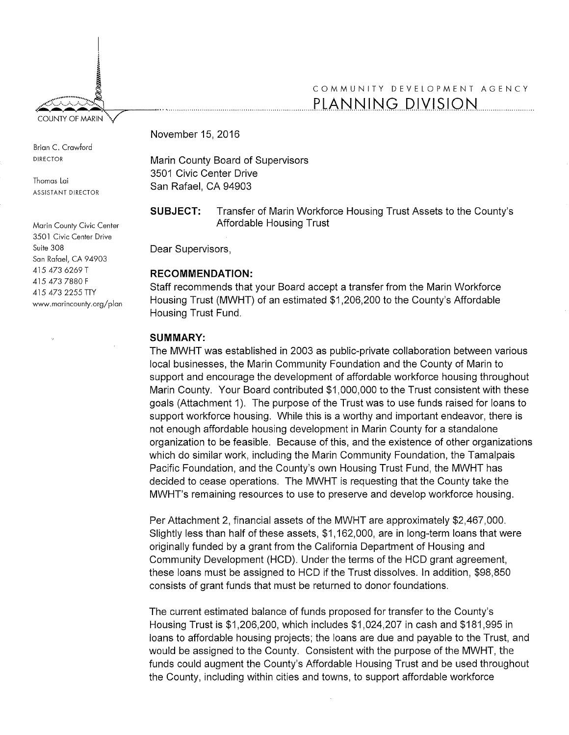I : ~ ~ ~ §

Brian C. Crawford DIRECTOR

Thomas Lai ASSISTANT DIRECTOR

Marin County Civic Center 3501 Civic Center Drive Suite 308 San Rafael, CA 94903 415 473 6269 T 415 473 7880 F 415 473 2255 TTY www.marincounty.org/plan

# COMMUNITY DEVELOPMENT AGENCY COUNTY OF MARIN V

November 15, 2016

Marin County Board of Supervisors 3501 Civic Center Drive San Rafael, CA 94903

**SUBJECT:** Transfer of Marin Workforce Housing Trust Assets to the County's Affordable Housing Trust

Dear Supervisors,

### **RECOMMENDATION:**

Staff recommends that your Board accept a transfer from the Marin Workforce Housing Trust (MWHT) of an estimated \$1,206,200 to the County's Affordable Housing Trust Fund.

### **SUMMARY:**

The MWHT was established in 2003 as public-private collaboration between various local businesses, the Marin Community Foundation and the County of Marin to support and encourage the development of affordable workforce housing throughout Marin County. Your Board contributed \$1,000,000 to the Trust consistent with these goals (Attachment 1). The purpose of the Trust was to use funds raised for loans to support workforce housing. While this is a worthy and important endeavor, there is not enough affordable housing development in Marin County for a standalone organization to be feasible. Because of this, and the existence of other organizations which do similar work, including the Marin Community Foundation, the Tamalpais Pacific Foundation, and the County's own Housing Trust Fund, the MWHT has decided to cease operations. The MWHT is requesting that the County take the MWHT's remaining resources to use to preserve and develop workforce housing.

Per Attachment 2, financial assets of the MWHT are approximately \$2,467,000. Slightly less than half of these assets, \$1,162,000, are in long-term loans that were originally funded by a grant from the California Department of Housing and Community Development (HCD). Under the terms of the HCD grant agreement, these loans must be assigned to HCD if the Trust dissolves. In addition, \$98,850 consists of grant funds that must be returned to donor foundations.

The current estimated balance of funds proposed for transfer to the County's Housing Trust is \$1,206,200, which includes \$1,024,207 in cash and \$181,995 in loans to affordable housing projects; the loans are due and payable to the Trust, and would be assigned to the County. Consistent with the purpose of the MWHT, the funds could augment the County's Affordable Housing Trust and be used throughout the County, including within cities and towns, to support affordable workforce